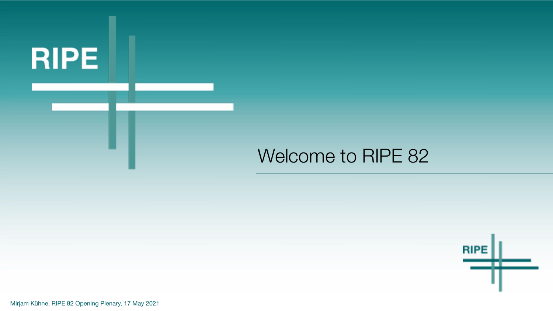

#### Welcome to RIPE 82



Mirjam Kühne, RIPE 82 Opening Plenary, 17 May 2021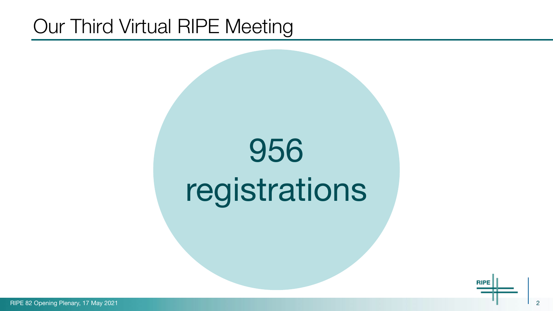#### Our Third Virtual RIPE Meeting

# 956 registrations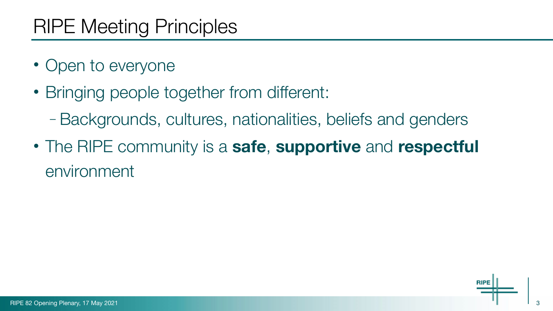## RIPE Meeting Principles

- Open to everyone
- Bringing people together from different:
	- Backgrounds, cultures, nationalities, beliefs and genders
- The RIPE community is a **safe**, **supportive** and **respectful** environment

3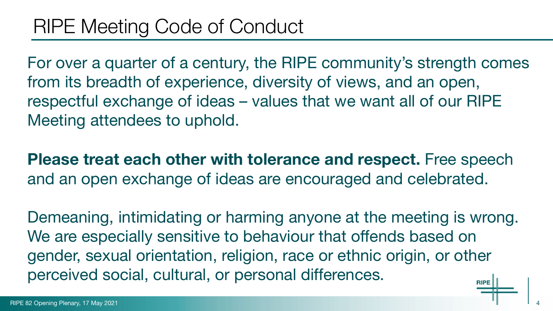For over a quarter of a century, the RIPE community's strength comes from its breadth of experience, diversity of views, and an open, respectful exchange of ideas – values that we want all of our RIPE Meeting attendees to uphold.

**Please treat each other with tolerance and respect.** Free speech and an open exchange of ideas are encouraged and celebrated.

Demeaning, intimidating or harming anyone at the meeting is wrong. We are especially sensitive to behaviour that offends based on gender, sexual orientation, religion, race or ethnic origin, or other perceived social, cultural, or personal differences.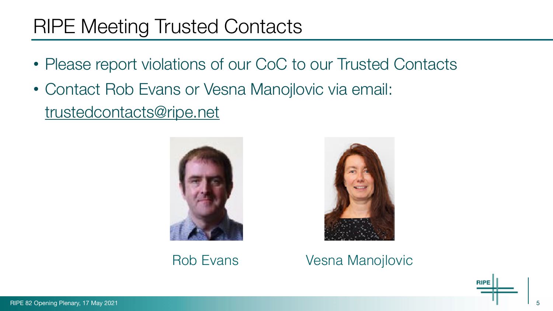#### RIPE Meeting Trusted Contacts

- Please report violations of our CoC to our Trusted Contacts
- Contact Rob Evans or Vesna Manojlovic via email:

[trustedcontacts@ripe.net](mailto:trustedcontacts@ripe.net)





#### [Ro](mailto:becha@ripe.net)b Evans Vesna Manojlovic

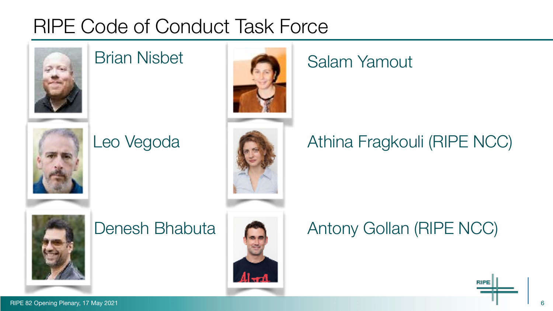## RIPE Code of Conduct Task Force



#### Brian Nisbet



#### Leo Vegoda



#### Salam Yamout

#### Athina Fragkouli (RIPE NCC)



#### Denesh Bhabuta



#### Antony Gollan (RIPE NCC)

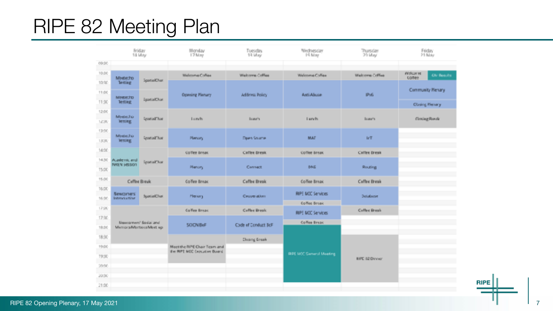## RIPE 82 Meeting Plan

|        |                                   | Friday<br>14 May       | Monday<br>17 May                                            | Tuesday<br>13 May   | Wednesday<br>19 May             | Thursday<br>21 May    | Friday<br>21 May   |                    |
|--------|-----------------------------------|------------------------|-------------------------------------------------------------|---------------------|---------------------------------|-----------------------|--------------------|--------------------|
| 09:30  |                                   |                        |                                                             |                     |                                 |                       |                    |                    |
| 10.00  | Medecho                           |                        | Welcoma Collas                                              | Welcome Coffee      | Welcoma Collise                 | Welcome Coffee        | Welcur re<br>comee | <b>CAI Benuils</b> |
| 10:30  | letting                           | SpotialChat            |                                                             |                     |                                 |                       |                    |                    |
| 11:00  |                                   |                        | Opening Plenary                                             | Address Policy      | Anti-Abuse                      | IPv6                  |                    | Community Henary   |
| 11:30  | <b>MINERCTO</b><br><b>Testing</b> | <b>EgatalClus</b>      |                                                             |                     |                                 |                       | Clasing Henary     |                    |
| 12:00  | Messecho                          |                        |                                                             |                     |                                 |                       |                    |                    |
| 12592  | lening.                           | <b>SportalChor</b>     | Lowh                                                        | <b>Buser's</b>      | Lunch                           | <b>Buser's</b>        |                    | Circleg Rende      |
| 13:00  | Messecho                          |                        |                                                             |                     |                                 |                       |                    |                    |
| 1.8592 | lening.                           | <b>SpatialClud</b>     | <b>Plenary</b>                                              | Deen Source         | <b>MAT</b>                      | IrT                   |                    |                    |
| 14:00  |                                   |                        | Co'Yee break                                                | Cather fronk        | Co'Yee break                    | Cather Break          |                    |                    |
| 14.30  | Austria, and<br>NREN 58501        | Sparial/War            |                                                             |                     |                                 |                       |                    |                    |
| 15:00  |                                   |                        | <b>Menary</b>                                               | Cannact             | <b>DAG</b>                      | <b>Routing</b>        |                    |                    |
| 15:30  |                                   | Caffee Break           | Co'Yee Break                                                | Caffee Break        | CoYoe Break                     | Caffee Break          |                    |                    |
| 16:00  | <b>Newcomers</b>                  | SpotialChat            | Plenary                                                     | Ceuveraber:         | RIPE MCC Services               | <b>Detablese</b>      |                    |                    |
| 16/30  | <b>Intervisionist</b>             |                        |                                                             |                     | Co'You Broak                    |                       |                    |                    |
| 17:00  | Maxima were floated and           |                        | Co/Yee Break                                                | Ceffee Break        | RIPE MCC Services               | Cuffee Break          |                    |                    |
| 17:30  |                                   |                        | <b>SOON BeF</b>                                             | Code of Conduct BoF | Coffee Break                    |                       |                    |                    |
| 18.00  |                                   | Menora/Martesa/Mest up |                                                             |                     |                                 |                       |                    |                    |
| 18:30  |                                   |                        |                                                             | <b>Cleang Break</b> |                                 |                       |                    |                    |
| 19:00  |                                   |                        | Most the RPE Chair Team and<br>the RFE NCC Executive Board. |                     |                                 |                       |                    |                    |
| 19:30  |                                   |                        |                                                             |                     | <b>GIPE MOC Gameral Meeting</b> | <b>EIPE 02 Dinner</b> |                    |                    |
| 20:00  |                                   |                        |                                                             |                     |                                 |                       |                    |                    |
| 20:30  |                                   |                        |                                                             |                     |                                 |                       |                    |                    |
| 21:00  |                                   |                        |                                                             |                     |                                 |                       |                    |                    |

**RIPE**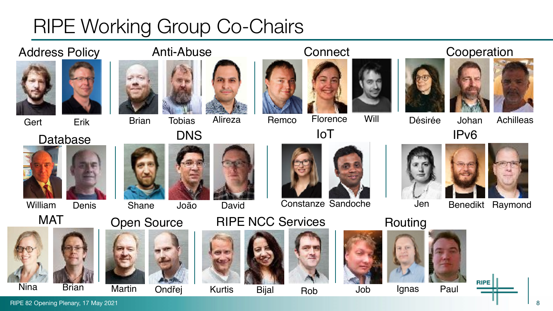## RIPE Working Group Co-Chairs

#### Address Policy **Anti-Abuse Connect** Cooperation





#### Database DNS IOT IPv6





William Denis



Nina



Gert Erik Brian Tobias



Remco Florence Alireza Will





David

#### **Connect**









Désirée

Johan Achilleas



Shane





Constanze Sandoche

IoT

#### MAT Open Source RIPE NCC Services Routing

















Jen Benedikt Raymond











Brian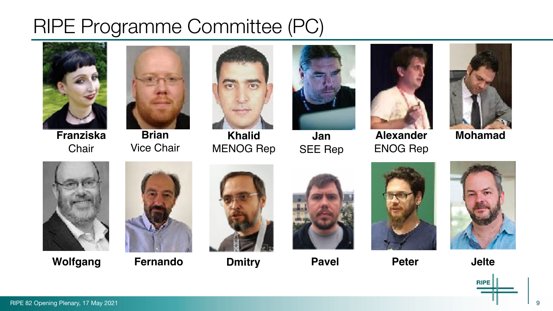## RIPE Programme Committee (PC)



**Franziska Chair** 



**Brian**  Vice Chair



**Khalid**  MENOG Rep



**Jan**  SEE Rep



**Alexander**  ENOG Rep



**Mohamad** 



**Wolfgang Fernando** 





**Dmitry Pavel Peter** Jelte









RIPE 82 Opening Plenary, 17 May 2021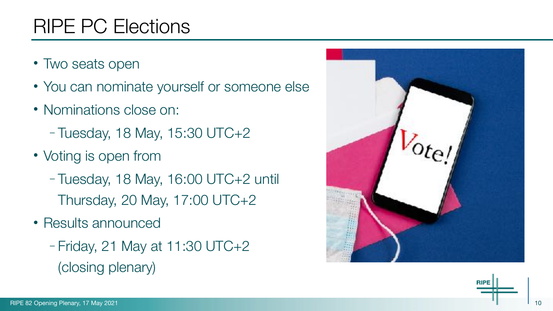#### RIPE PC Elections

- Two seats open
- You can nominate yourself or someone else
- Nominations close on:
	- Tuesday, 18 May, 15:30 UTC+2
- Voting is open from
	- Tuesday, 18 May, 16:00 UTC+2 until Thursday, 20 May, 17:00 UTC+2
- Results announced
	- Friday, 21 May at 11:30 UTC+2 (closing plenary)



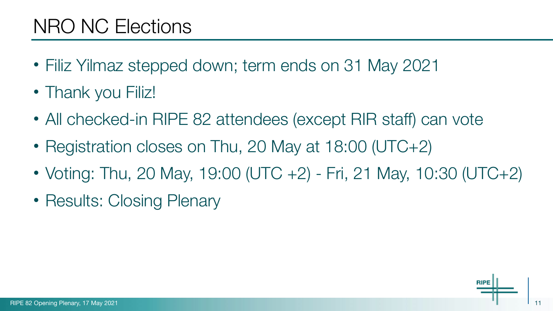#### NRO NC Elections

- Filiz Yilmaz stepped down; term ends on 31 May 2021
- Thank you Filiz!
- All checked-in RIPE 82 attendees (except RIR staff) can vote
- Registration closes on Thu, 20 May at 18:00 (UTC+2)
- Voting: Thu, 20 May, 19:00 (UTC +2) Fri, 21 May, 10:30 (UTC+2)
- Results: Closing Plenary

11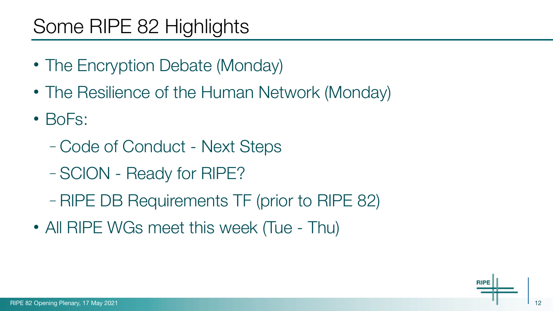## Some RIPE 82 Highlights

- The Encryption Debate (Monday)
- The Resilience of the Human Network (Monday)
- BoFs:
	- Code of Conduct Next Steps
	- SCION Ready for RIPE?
	- RIPE DB Requirements TF (prior to RIPE 82)
- All RIPE WGs meet this week (Tue Thu)

12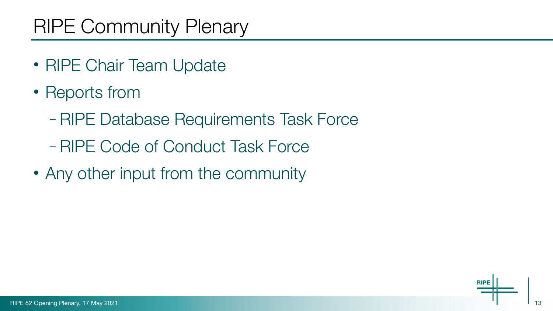## RIPE Community Plenary

- RIPE Chair Team Update
- Reports from
	- RIPE Database Requirements Task Force
	- RIPE Code of Conduct Task Force
- Any other input from the community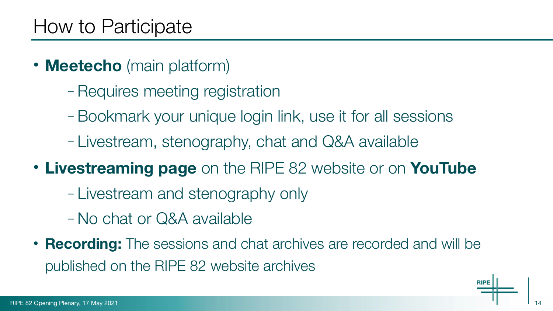- **Meetecho** (main platform)
	- Requires meeting registration
	- Bookmark your unique login link, use it for all sessions
	- Livestream, stenography, chat and Q&A available
- **Livestreaming page** on the RIPE 82 website or on **YouTube**
	- Livestream and stenography only
	- No chat or Q&A available
- **Recording:** The sessions and chat archives are recorded and will be published on the RIPE 82 website archives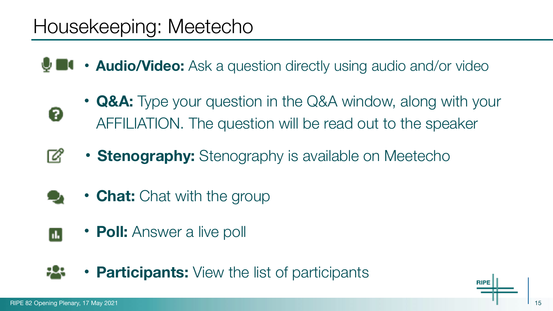#### Housekeeping: Meetecho

**• Audio/Video:** Ask a question directly using audio and/or video

- **Q&A:** Type your question in the Q&A window, along with your AFFILIATION. The question will be read out to the speaker
- **Stenography:** Stenography is available on Meetecho Ø
	- **Chat:** Chat with the group
- **Poll:** Answer a live poll  $\overline{\mathbf{h}}$
- **Participants:** View the list of participants

Ø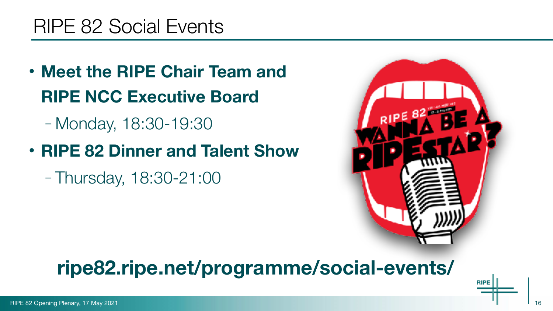#### RIPE 82 Social Events

- **Meet the RIPE Chair Team and RIPE NCC Executive Board** 
	- Monday, 18:30-19:30
- **RIPE 82 Dinner and Talent Show** 
	- Thursday, 18:30-21:00



#### **ripe82.ripe.net/programme/social-events/**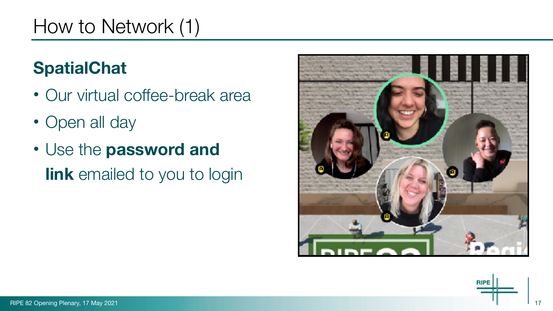## How to Network (1)

#### **SpatialChat**

- Our virtual coffee-break area
- Open all day
- Use the **password and link** emailed to you to login



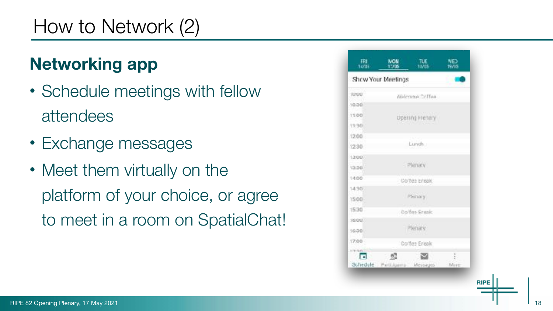## How to Network (2)

#### **Networking app**

- Schedule meetings with fellow attendees
- Exchange messages
- Meet them virtually on the platform of your choice, or agree to meet in a room on SpatialChat!

| 14/05                            | 17/05           | 18/05 | 19/05 |  |  |  |
|----------------------------------|-----------------|-------|-------|--|--|--|
| Show Your Meetings               |                 |       |       |  |  |  |
| 1000U                            | Nelconae Octfau |       |       |  |  |  |
| 10.30                            |                 |       |       |  |  |  |
| 11/00                            | Upering Flenary |       |       |  |  |  |
| 11/30                            |                 |       |       |  |  |  |
| 12:00                            | Lunch.          |       |       |  |  |  |
| 12:30                            |                 |       |       |  |  |  |
| 13/807                           |                 |       |       |  |  |  |
| 13:36                            | Plenary         |       |       |  |  |  |
| 14:00                            | Co'Tes creak    |       |       |  |  |  |
| 14/90                            |                 |       |       |  |  |  |
| 15:00                            | Pleina y        |       |       |  |  |  |
| 15:30                            | Coffee Frank    |       |       |  |  |  |
| 16000                            |                 |       |       |  |  |  |
| 16:30                            | Pienary         |       |       |  |  |  |
| 17:00                            | Cortes Ereak    |       |       |  |  |  |
| <b>ATRIBAC</b><br>$\blacksquare$ | - 63            |       | ţ.    |  |  |  |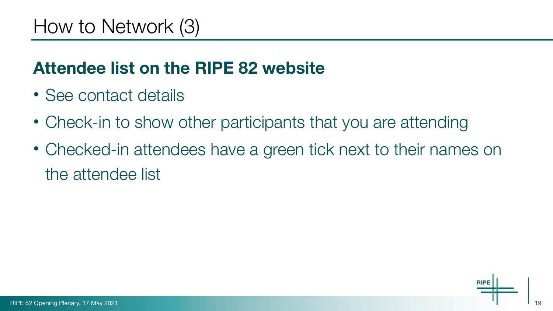#### **Attendee list on the RIPE 82 website**

- See contact details
- Check-in to show other participants that you are attending
- Checked-in attendees have a green tick next to their names on the attendee list

19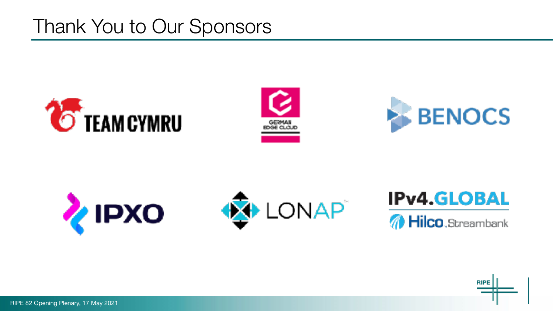#### Thank You to Our Sponsors













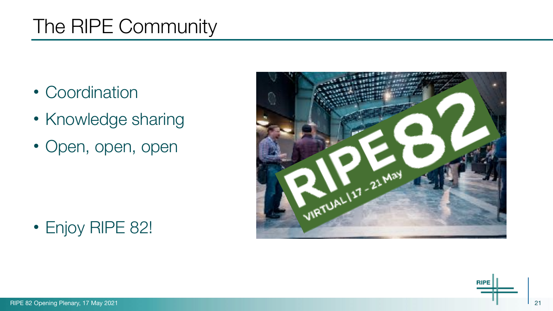## The RIPE Community

- Coordination
- Knowledge sharing
- Open, open, open



#### • Enjoy RIPE 82!